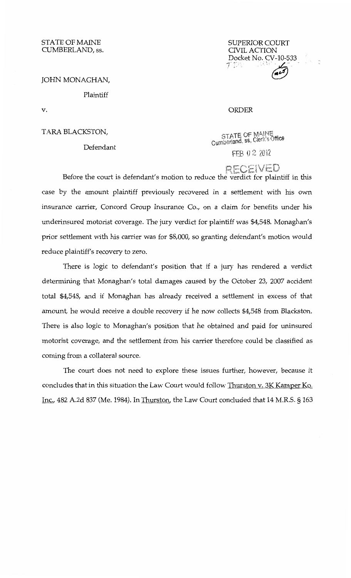STATE OF MAINE CUMBERLAND, ss.

SUPERIOR COURT CNILACTION **Docket No. CV-10-533**<br> *1' D* : July **423** 

#### JOHN MONAGHAN,

## Plaintiff

v.

TARA BLACKSTON,

Defendant

STATE OF MAINE<br>Cumberland, ss, Clerk's Office

ORDER

FEB 02 2012

RECEIVED Before the court is defendant's motion to reduce the verdict for plaintiff in this case by the amount plaintiff previously recovered in a settlement with his own insurance carrier, Concord Group Insurance Co., on a claim for benefits under his underinsured motorist coverage. The jury verdict for plaintiff was \$4,548. Monaghan's prior settlement with his carrier was for \$8,000, so granting defendant's motion would reduce plaintiff's recovery to zero.

There is logic to defendant's position that if a jury has rendered a verdict determining that Monaghan's total damages caused by the October 23, 2007 accident total \$4,548, and if Monaghan has already received a settlement in excess of that amount, he would receive a double recovery if he now collects \$4,548 from Blackston. There is also logic to Monaghan's position that he obtained and paid for uninsured motorist coverage, and the settlement from his carrier therefore could be classified as coming from a collateral source.

The court does not need to explore these issues further, however, because it concludes that in this situation the Law Court would follow Thurston v. 3K Kamper Ko. Inc., 482 A.2d 837 (Me. 1984). In Thurston, the Law Court concluded that 14 M.R.S. § 163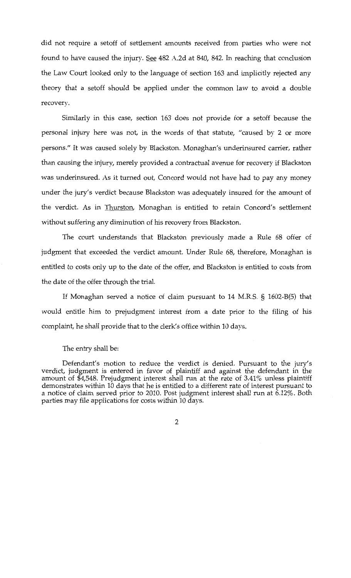did not require a setoff of settlement amounts received from parties who were not found to have caused the injury. See 482 A.2d at 840, 842. In reaching that conclusion the Law Court looked only to the language of section 163 and implicitly rejected any theory that a setoff should be applied under the common law to avoid a double recovery.

Similarly in this case, section 163 does not provide for a setoff because the personal injury here was not, in the words of that statute, "caused by 2 or more persons." It was caused solely by Blackston. Monaghan's underinsured carrier, rather than causing the injury, merely provided a contractual avenue for recovery if Blackston was underinsured. As it turned out, Concord would not have had to pay any money under the jury's verdict because Blackston was adequately insured for the amount of the verdict. As in Thurston, Monaghan is entitled to retain Concord's settlement without suffering any diminution of his recovery from Blackston.

The court understands that Blackston previously made a Rule 68 offer of judgment that exceeded the verdict amount. Under Rule 68, therefore, Monaghan is entitled to costs only up to the date of the offer, and Blackston is entitled to costs from the date of the offer through the trial.

If Monaghan served a notice of claim pursuant to 14 M.R.S. § 1602-B(S) that would entitle him to prejudgment interest from a date prior to the filing of his complaint, he shall provide that to the clerk's office within 10 days.

#### The entry shall be:

Defendant's motion to reduce the verdict is denied. Pursuant to the jury's verdict, judgment is entered in favor of plaintiff and against the defendant in the amount of \$4,548. Prejudgment interest shall run at the rate of 3.41% unless plaintiff demonstrates within 10 days that he is entitled to a different rate of interest pursuant to a notice of claim served prior to 2010. Post judgment interest shall run at 6.12%. Both parties may file applications for costs within 10 days.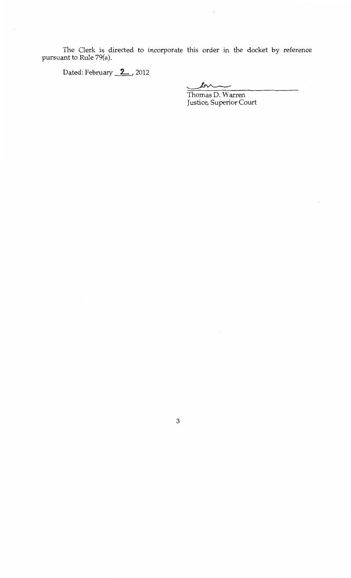The Clerk is directed to incorporate this order in the docket by reference pursuant to Rule 79(a).

Dated: February 2 , 2012

 $\hat{\boldsymbol{\cdot}$ 

Thomas D. Warren Justice, Superior Court